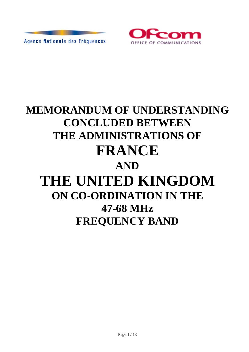



# **MEMORANDUM OF UNDERSTANDING CONCLUDED BETWEEN THE ADMINISTRATIONS OF FRANCE AND THE UNITED KINGDOM ON CO-ORDINATION IN THE 47-68 MHz FREQUENCY BAND**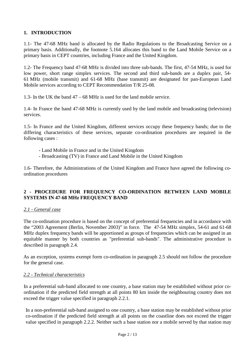#### **1. INTRODUCTION**

1.1- The 47-68 MHz band is allocated by the Radio Regulations to the Broadcasting Service on a primary basis. Additionally, the footnote 5.164 allocates this band to the Land Mobile Service on a primary basis in CEPT countries, including France and the United Kingdom.

1.2- The Frequency band 47-68 MHz is divided into three sub-bands. The first, 47-54 MHz, is used for low power, short range simplex services. The second and third sub-bands are a duplex pair, 54- 61 MHz (mobile transmit) and 61-68 MHz (base transmit) are designated for pan-European Land Mobile services according to CEPT Recommendation T/R 25-08.

1.3- In the UK the band 47 – 68 MHz is used for the land mobile service.

1.4- In France the band 47-68 MHz is currently used by the land mobile and broadcasting (television) services.

1.5- In France and the United Kingdom, different services occupy these frequency bands; due to the differing characteristics of these services, separate co-ordination procedures are required in the following cases :

- Land Mobile in France and in the United Kingdom
- Broadcasting (TV) in France and Land Mobile in the United Kingdom

1.6- Therefore, the Administrations of the United Kingdom and France have agreed the following coordination procedures

#### **2 - PROCEDURE FOR FREQUENCY CO-ORDINATION BETWEEN LAND MOBILE SYSTEMS IN 47-68 MHz FREQUENCY BAND**

#### *2.1 - General case*

The co-ordination procedure is based on the concept of preferential frequencies and in accordance with the "2003 Agreement (Berlin, November 2003)" in force. The 47-54 MHz simplex, 54-61 and 61-68 MHz duplex frequency bands will be apportioned as groups of frequencies which can be assigned in an equitable manner by both countries as "preferential sub-bands". The administrative procedure is described in paragraph 2.4.

As an exception, systems exempt form co-ordination in paragraph 2.5 should not follow the procedure for the general case.

#### *2.2 - Technical characteristics*

In a preferential sub-band allocated to one country, a base station may be established without prior coordination if the predicted field strength at all points 80 km inside the neighbouring country does not exceed the trigger value specified in paragraph 2.2.1.

In a non-preferential sub-band assigned to one country, a base station may be established without prior co-ordination if the predicted field strength at all points on the coastline does not exceed the trigger value specified in paragraph 2.2.2. Neither such a base station nor a mobile served by that station may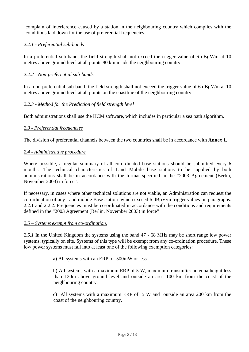complain of interference caused by a station in the neighbouring country which complies with the conditions laid down for the use of preferential frequencies.

#### *2.2.1 - Preferential sub-bands*

In a preferential sub-band, the field strength shall not exceed the trigger value of 6  $dB\mu V/m$  at 10 metres above ground level at all points 80 km inside the neighbouring country.

#### *2.2.2 - Non-preferential sub-bands*

In a non-preferential sub-band, the field strength shall not exceed the trigger value of 6 dB $\mu$ V/m at 10 metres above ground level at all points on the coastline of the neighbouring country.

#### *2.2.3 - Method for the Prediction of field strength level*

Both administrations shall use the HCM software, which includes in particular a sea path algorithm.

#### *2.3 - Preferential frequencies*

The division of preferential channels between the two countries shall be in accordance with **Annex 1**.

#### *2.4 - Administrative procedure*

Where possible, a regular summary of all co-ordinated base stations should be submitted every 6 months. The technical characteristics of Land Mobile base stations to be supplied by both administrations shall be in accordance with the format specified in the "2003 Agreement (Berlin, November 2003) in force".

If necessary, in cases where other technical solutions are not viable, an Administration can request the co-ordination of any Land mobile Base station which exceed 6 dBµV/m trigger values in paragraphs. 2.2.1 and 2.2.2. Frequencies must be co-ordinated in accordance with the conditions and requirements defined in the "2003 Agreement (Berlin, November 2003) in force"

#### *2.5 – Systems exempt from co-ordination.*

*2.5.1* In the United Kingdom the systems using the band 47 - 68 MHz may be short range low power systems, typically on site. Systems of this type will be exempt from any co-ordination procedure. These low power systems must fall into at least one of the following exemption categories:

a) All systems with an ERP of 500mW or less.

b) All systems with a maximum ERP of 5 W, maximum transmitter antenna height less than 120m above ground level and outside an area 100 km from the coast of the neighbouring country.

c) All systems with a maximum ERP of 5 W and outside an area 200 km from the coast of the neighbouring country.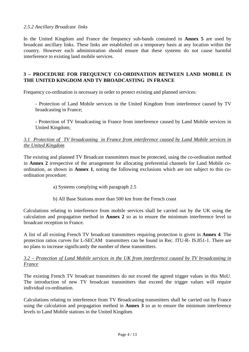#### *2.5.2 Ancillary Broadcast links*

In the United Kingdom and France the frequency sub-bands contained in **Annex 5** are used by broadcast ancillary links. These links are established on a temporary basis at any location within the country. However each administration should ensure that these systems do not cause harmful interference to existing land mobile services.

#### **3 – PROCEDURE FOR FREQUENCY CO-ORDINATION BETWEEN LAND MOBILE IN THE UNITED KINGDOM AND TV BROADCASTING IN FRANCE**

Frequency co-ordination is necessary in order to protect existing and planned services:

- Protection of Land Mobile services in the United Kingdom from interference caused by TV broadcasting in France;

- Protection of TV broadcasting in France from interference caused by Land Mobile services in United Kingdom;

#### *3.1 Protection of TV broadcasting in France from interference caused by Land Mobile services in the United Kingdom*

The existing and planned TV Broadcast transmitters must be protected, using the co-ordination method in **Annex 2** irrespective of the arrangement for allocating preferential channels for Land Mobile coordination, as shown in **Annex 1**, noting the following exclusions which are not subject to this coordination procedure:

- a) Systems complying with paragraph 2.5
- b) All Base Stations more than 500 km from the French coast

Calculations relating to interference from mobile services shall be carried out by the UK using the calculation and propagation method in **Annex 2** so as to ensure the minimum interference level to broadcast reception in France.

A list of all existing French TV broadcast transmitters requiring protection is given in **Annex 4**. The protection ratios curves for L-SECAM transmitters can be found in Rec. ITU-R- IS.851-1. There are no plans to increase significantly the number of these transmitters.

#### *3.2 – Protection of Land Mobile services in the UK from interference caused by TV broadcasting in France*

The existing French TV broadcast transmitters do not exceed the agreed trigger values in this MoU. The introduction of new TV broadcast transmitters that exceed the trigger values will require individual co-ordination.

Calculations relating to interference from TV Broadcasting transmitters shall be carried out by France using the calculation and propagation method in **Annex 3** so as to ensure the minimum interference levels to Land Mobile stations in the United Kingdom.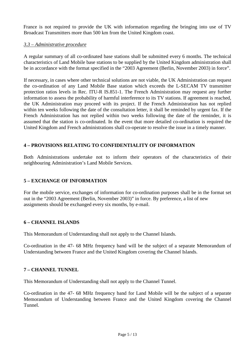France is not required to provide the UK with information regarding the bringing into use of TV Broadcast Transmitters more than 500 km from the United Kingdom coast.

#### *3.3 – Administrative procedure*

A regular summary of all co-ordinated base stations shall be submitted every 6 months. The technical characteristics of Land Mobile base stations to be supplied by the United Kingdom administration shall be in accordance with the format specified in the "2003 Agreement (Berlin, November 2003) in force".

If necessary, in cases where other technical solutions are not viable, the UK Administration can request the co-ordination of any Land Mobile Base station which exceeds the L-SECAM TV transmitter protection ratios levels in Rec. ITU-R IS.851-1. The French Administration may request any further information to assess the probability of harmful interference to its TV stations. If agreement is reached, the UK Administration may proceed with its project. If the French Administration has not replied within ten weeks following the date of the consultation letter, it shall be reminded by urgent fax. If the French Administration has not replied within two weeks following the date of the reminder, it is assumed that the station is co-ordinated. In the event that more detailed co-ordination is required the United Kingdom and French administrations shall co-operate to resolve the issue in a timely manner.

#### **4 – PROVISIONS RELATING TO CONFIDENTIALITY OF INFORMATION**

Both Administrations undertake not to inform their operators of the characteristics of their neighbouring Administration's Land Mobile Services.

#### **5 – EXCHANGE OF INFORMATION**

For the mobile service, exchanges of information for co-ordination purposes shall be in the format set out in the "2003 Agreement (Berlin, November 2003)" in force. By preference, a list of new assignments should be exchanged every six months, by e-mail.

#### **6 – CHANNEL ISLANDS**

This Memorandum of Understanding shall not apply to the Channel Islands.

Co-ordination in the 47- 68 MHz frequency band will be the subject of a separate Memorandum of Understanding between France and the United Kingdom covering the Channel Islands.

#### **7 – CHANNEL TUNNEL**

This Memorandum of Understanding shall not apply to the Channel Tunnel.

Co-ordination in the 47- 68 MHz frequency band for Land Mobile will be the subject of a separate Memorandum of Understanding between France and the United Kingdom covering the Channel Tunnel.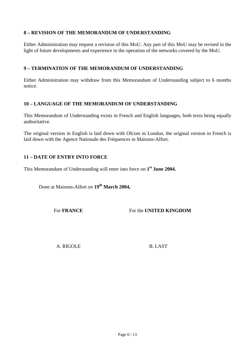#### **8 – REVISION OF THE MEMORANDUM OF UNDERSTANDING**

Either Administration may request a revision of this MoU. Any part of this MoU may be revised in the light of future developments and experience in the operation of the networks covered by the MoU.

#### **9 – TERMINATION OF THE MEMORANDUM OF UNDERSTANDING**

Either Administration may withdraw from this Memorandum of Understanding subject to 6 months notice.

#### **10 – LANGUAGE OF THE MEMORANDUM OF UNDERSTANDING**

This Memorandum of Understanding exists in French and English languages, both texts being equally authoritative.

The original version in English is laid down with Ofcom in London, the original version in French is laid down with the Agence Nationale des Fréquences in Maisons-Alfort.

#### **11 – DATE OF ENTRY INTO FORCE**

This Memorandum of Understanding will enter into force on **1st June 2004.**

Done at Maisons-Alfort on **19th March 2004,**

For **FRANCE** For the **UNITED KINGDOM** 

A. RIGOLE B. LAST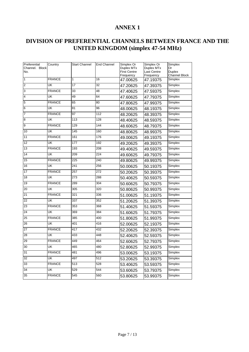# **DIVISION OF PREFERENTIAL CHANNELS BETWEEN FRANCE AND THE UNITED KINGDOM (simplex 47-54 MHz)**

| Preferential<br>Channel. Block<br>No. | Country       | <b>Start Channel</b> | End Channel      | Simplex Or<br>Duplex MTx<br><b>First Centre</b> | Simplex Or<br>Duplex MTx<br>Last Centre | Simplex<br>Or<br>Duplex |
|---------------------------------------|---------------|----------------------|------------------|-------------------------------------------------|-----------------------------------------|-------------------------|
|                                       |               |                      |                  | Frequency                                       | Frequency                               | Channel Block           |
| 1                                     | <b>FRANCE</b> | 1                    | 16               | 47.00625                                        | 47.19375                                | Simplex                 |
| $\overline{2}$                        | UK            | 17                   | 32               | 47.20625                                        | 47.39375                                | Simplex                 |
| 3                                     | <b>FRANCE</b> | 33                   | 48               | 47.40625                                        | 47.59375                                | Simplex                 |
| 4                                     | UK            | 49                   | 64               | 47.60625                                        | 47.79375                                | Simplex                 |
| 5                                     | <b>FRANCE</b> | 65                   | 80               | 47.80625                                        | 47.99375                                | Simplex                 |
| 6                                     | UK            | 81                   | 96               | 48.00625                                        | 48.19375                                | Simplex                 |
| $\overline{7}$                        | <b>FRANCE</b> | 97                   | 112              | 48.20625                                        | 48.39375                                | Simplex                 |
| 8                                     | UK            | 113                  | 128              | 48.40625                                        | 48.59375                                | Simplex                 |
| 9                                     | <b>FRANCE</b> | 129                  | 144              | 48.60625                                        | 48.79375                                | Simplex                 |
| 10                                    | UK            | 145                  | 160              | 48.80625                                        | 48.99375                                | Simplex                 |
| 11                                    | <b>FRANCE</b> | 161                  | 176              | 49.00625                                        | 49.19375                                | Simplex                 |
| 12                                    | UK            | 177                  | 192              | 49.20625                                        | 49.39375                                | Simplex                 |
| 13                                    | <b>FRANCE</b> | 193                  | 208              | 49.40625                                        | 49.59375                                | Simplex                 |
| 14                                    | UK            | 209                  | 224              | 49.60625                                        | 49.79375                                | Simplex                 |
| 15                                    | <b>FRANCE</b> | $\overline{225}$     | $\overline{240}$ | 49.80625                                        | 49.99375                                | Simplex                 |
| 16                                    | UK            | 241                  | 256              | 50.00625                                        | 50.19375                                | Simplex                 |
| 17                                    | <b>FRANCE</b> | 257                  | 272              | 50.20625                                        | 50.39375                                | Simplex                 |
| 18                                    | UK            | 273                  | 288              | 50.40625                                        | 50.59375                                | Simplex                 |
| 19                                    | <b>FRANCE</b> | 289                  | 304              | 50.60625                                        | 50.79375                                | Simplex                 |
| 20                                    | UK            | 305                  | 320              | 50.80625                                        | 50.99375                                | Simplex                 |
| 21                                    | <b>FRANCE</b> | 321                  | 336              | 51.00625                                        | 51.19375                                | Simplex                 |
| 22                                    | UK            | 337                  | 352              | 51.20625                                        | 51.39375                                | Simplex                 |
| 23                                    | <b>FRANCE</b> | 353                  | 368              | 51.40625                                        | 51.59375                                | Simplex                 |
| 24                                    | UK            | 369                  | 384              | 51.60625                                        | 51.79375                                | Simplex                 |
| 25                                    | <b>FRANCE</b> | 385                  | 400              | 51.80625                                        | 51.99375                                | Simplex                 |
| 26                                    | UK            | 401                  | 416              | 52.00625                                        | 52.19375                                | Simplex                 |
| 27                                    | <b>FRANCE</b> | 417                  | 432              | 52.20625                                        | 52.39375                                | Simplex                 |
| 28                                    | UK            | 433                  | 448              | 52.40625                                        | 52.59375                                | Simplex                 |
| 29                                    | <b>FRANCE</b> | 449                  | 464              | 52.60625                                        | 52.79375                                | Simplex                 |
| 30                                    | UK            | 465                  | 480              | 52.80625                                        | 52.99375                                | Simplex                 |
| 31                                    | <b>FRANCE</b> | 481                  | 496              | 53.00625                                        | 53.19375                                | Simplex                 |
| 32                                    | UK            | 497                  | 512              | 53.20625                                        | 53.39375                                | Simplex                 |
| 33                                    | <b>FRANCE</b> | 513                  | 528              | 53.40625                                        | 53.59375                                | Simplex                 |
| 34                                    | UK            | 529                  | 544              | 53.60625                                        | 53.79375                                | Simplex                 |
| 35                                    | <b>FRANCE</b> | 545                  | 560              | 53.80625                                        | 53.99375                                | Simplex                 |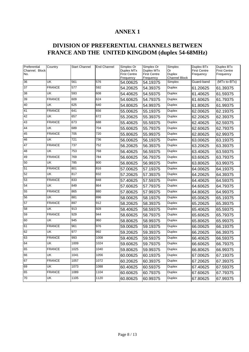# **DIVISION OF PREFERENTIAL CHANNELS BETWEEN FRANCE AND THE UNITED KINGDOM (duplex 54-68MHz)**

| Preferential          | Country       | Start Channel    | <b>End Channel</b> | Simplex Or                        | Simplex Or                        | Simplex              | Duplex BTx                       | Duplex BTx                       |
|-----------------------|---------------|------------------|--------------------|-----------------------------------|-----------------------------------|----------------------|----------------------------------|----------------------------------|
| Channel. Block<br>No. |               |                  |                    | Duplex MTx<br><b>First Centre</b> | Duplex MTx<br><b>First Centre</b> | Or<br><b>Duplex</b>  | <b>First Centre</b><br>Frequency | <b>First Centre</b><br>Frequency |
|                       |               |                  |                    | Frequency                         | Frequency                         | <b>Channel Block</b> |                                  |                                  |
| 36                    | UK            | 561              | 576                | 54.00625                          | 54.19375                          | Simplex              | Guard-band                       | (MTx to-BTx)                     |
| 37                    | <b>FRANCE</b> | 577              | 592                | 54.20625                          | 54.39375                          | <b>Duplex</b>        | 61.20625                         | 61.39375                         |
| 38                    | UK            | 593              | 608                | 54.40625                          | 54.59375                          | <b>Duplex</b>        | 61.40625                         | 61.59375                         |
| 39                    | <b>FRANCE</b> | 609              | 624                | 54.60625                          | 54.79375                          | Duplex               | 61.60625                         | 61.79375                         |
| 40                    | UK            | 625              | 640                | 54.80625                          | 54.99375                          | Duplex               | 61.80625                         | 61.99375                         |
| 41                    | <b>FRANCE</b> | 641              | 656                | 55.00625                          | 55.19375                          | <b>Duplex</b>        | 62.00625                         | 62.19375                         |
| 42                    | UK            | 657              | 672                | 55.20625                          | 55.39375                          | <b>Duplex</b>        | 62.20625                         | 62.39375                         |
| 43                    | <b>FRANCE</b> | 673              | 688                | 55.40625                          | 55.59375                          | Duplex               | 62.40625                         | 62.59375                         |
| 44                    | UK            | 689              | 704                | 55.60625                          | 55.79375                          | Duplex               | 62.60625                         | 62.79375                         |
| 45                    | <b>FRANCE</b> | $\overline{705}$ | 720                | 55.80625                          | 55.99375                          | Duplex               | 62.80625                         | 62.99375                         |
| 46                    | UK            | $\overline{721}$ | 736                | 56.00625                          | 56.19375                          | Duplex               | 63.00625                         | 63.19375                         |
| 47                    | <b>FRANCE</b> | 737              | 752                | 56.20625                          | 56.39375                          | Duplex               | 63.20625                         | 63.39375                         |
| 48                    | UK            | $\overline{753}$ | 768                | 56.40625                          | 56.59375                          | <b>Duplex</b>        | 63.40625                         | 63.59375                         |
| 49                    | <b>FRANCE</b> | 769              | 784                | 56.60625                          | 56.79375                          | Duplex               | 63.60625                         | 63.79375                         |
| 50                    | UK            | 785              | 800                | 56.80625                          | 56.99375                          | Duplex               | 63.80625                         | 63.99375                         |
| 51                    | <b>FRANCE</b> | 801              | 816                | 57.00625                          | 57.19375                          | <b>Duplex</b>        | 64.00625                         | 64.19375                         |
| 52                    | UK            | 817              | 832                | 57.20625                          | 57.39375                          | <b>Duplex</b>        | 64.20625                         | 64.39375                         |
| 53                    | <b>FRANCE</b> | 833              | 848                | 57.40625                          | 57.59375                          | <b>Duplex</b>        | 64.40625                         | 64.59375                         |
| 54                    | UK            | 849              | 864                | 57.60625                          | 57.79375                          | <b>Duplex</b>        | 64.60625                         | 64.79375                         |
| 55                    | <b>FRANCE</b> | 865              | 880                | 57.80625                          | 57.99375                          | <b>Duplex</b>        | 64.80625                         | 64.99375                         |
| 56                    | UK            | 881              | 896                | 58.00625                          | 58.19375                          | <b>Duplex</b>        | 65.00625                         | 65.19375                         |
| 57                    | <b>FRANCE</b> | 897              | 912                | 58.20625                          | 58.39375                          | <b>Duplex</b>        | 65.20625                         | 65.39375                         |
| 58                    | UK            | 913              | 928                | 58.40625                          | 58.59375                          | <b>Duplex</b>        | 65.40625                         | 65.59375                         |
| 59                    | <b>FRANCE</b> | $\overline{929}$ | 944                | 58.60625                          | 58.79375                          | <b>Duplex</b>        | 65.60625                         | 65.79375                         |
| 60                    | UK            | 945              | 960                | 58.80625                          | 58.99375                          | <b>Duplex</b>        | 65.80625                         | 65.99375                         |
| 61                    | <b>FRANCE</b> | 961              | 976                | 59.00625                          | 59.19375                          | <b>Duplex</b>        | 66.00625                         | 66.19375                         |
| 62                    | UK            | 977              | 992                | 59.20625                          | 59.39375                          | <b>Duplex</b>        | 66.20625                         | 66.39375                         |
| 63                    | <b>FRANCE</b> | 993              | 1008               | 59.40625                          | 59.59375                          | <b>Duplex</b>        | 66.40625                         | 66.59375                         |
| 64                    | UK            | 1009             | 1024               | 59.60625                          | 59.79375                          | <b>Duplex</b>        | 66.60625                         | 66.79375                         |
| 65                    | <b>FRANCE</b> | 1025             | 1040               | 59.80625                          | 59.99375                          | Duplex               | 66.80625                         | 66.99375                         |
| 66                    | UK            | 1041             | 1056               | 60.00625                          | 60.19375                          | <b>Duplex</b>        | 67.00625                         | 67.19375                         |
| 67                    | <b>FRANCE</b> | 1057             | 1072               | 60.20625                          | 60.39375                          | <b>Duplex</b>        | 67.20625                         | 67.39375                         |
| 69                    | UK            | 1073             | 1088               | 60.40625                          | 60.59375                          | <b>Duplex</b>        | 67.40625                         | 67.59375                         |
| 65                    | <b>FRANCE</b> | 1089             | 1104               | 60.60625                          | 60.79375                          | <b>Duplex</b>        | 67.60625                         | 67.79375                         |
| 70                    | UK            | 1105             | 1120               | 60.80625                          | 60.99375                          | <b>Duplex</b>        | 67.80625                         | 67.99375                         |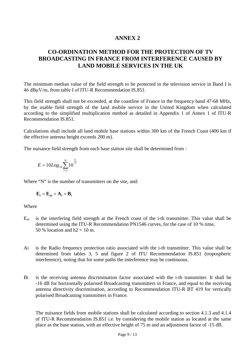# **CO-ORDINATION METHOD FOR THE PROTECTION OF TV BROADCASTING IN FRANCE FROM INTERFERENCE CAUSED BY LAND MOBILE SERVICES IN THE UK**

The minimum median value of the field strength to be protected in the television service in Band I is 46 dBμV/m, from table I of ITU-R Recommendation IS.851.

This field strength shall not be exceeded, at the coastline of France in the frequency band 47-68 MHz, by the usable field strength of the land mobile service in the United Kingdom when calculated according to the simplified multiplication method as detailed in Appendix 1 of Annex 1 of ITU-R Recommendation IS.851.

Calculations shall include all land mobile base stations within 300 km of the French Coast (400 km if the effective antenna height exceeds 200 m).

The nuisance field strength from each base station site shall be determined from :

$$
E = 10Log_{10} \sum_{i=1}^{N} 10^{\frac{E_i}{10}}
$$

Where "N" is the number of transmitters on the site, and:

$$
\mathbf{E_i} = \mathbf{E_{ni}} + \mathbf{A_i} + \mathbf{B_i}
$$

Where

- $E_{ni}$  is the interfering field strength at the French coast of the i-th transmitter. This value shall be determined using the ITU-R Recommendation PN1546 curves, for the case of 10 % time, 50 % location and  $h2 = 10$  m.
- Ai is the Radio frequency protection ratio associated with the i-th transmitter. This value shall be determined from tables 3, 5 and figure 2 of ITU Recommendation IS.851 (tropospheric interference), noting that for some paths the interference may be continuous.
- Bi is the receiving antenna discrimination factor associated with the i-th transmitter. It shall be -16 dB for horizontally polarised Broadcasting transmitters in France, and equal to the receiving antenna directivity discrimination, according to Recommendation ITU-R BT 419 for vertically polarised Broadcasting transmitters in France.

The nuisance fields from mobile stations shall be calculated according to section 4.1.3 and 4.1.4 of ITU-R Recommendation IS.851 i.e. by considering the mobile station as located at the same place as the base station, with an effective height of 75 m and an adjustment factor of -15 dB.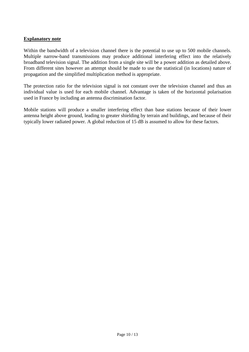#### **Explanatory note**

Within the bandwidth of a television channel there is the potential to use up to 500 mobile channels. Multiple narrow-band transmissions may produce additional interfering effect into the relatively broadband television signal. The addition from a single site will be a power addition as detailed above. From different sites however an attempt should be made to use the statistical (in locations) nature of propagation and the simplified multiplication method is appropriate.

The protection ratio for the television signal is not constant over the television channel and thus an individual value is used for each mobile channel. Advantage is taken of the horizontal polarisation used in France by including an antenna discrimination factor.

Mobile stations will produce a smaller interfering effect than base stations because of their lower antenna height above ground, leading to greater shielding by terrain and buildings, and because of their typically lower radiated power. A global reduction of 15 dB is assumed to allow for these factors.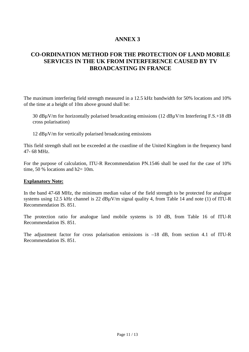## **CO-ORDINATION METHOD FOR THE PROTECTION OF LAND MOBILE SERVICES IN THE UK FROM INTERFERENCE CAUSED BY TV BROADCASTING IN FRANCE**

The maximum interfering field strength measured in a 12.5 kHz bandwidth for 50% locations and 10% of the time at a height of 10m above ground shall be:

30 dBµV/m for horizontally polarised broadcasting emissions (12 dBµV/m Interfering F.S.+18 dB cross polarisation)

12 dBµV/m for vertically polarised broadcasting emissions

This field strength shall not be exceeded at the coastline of the United Kingdom in the frequency band 47- 68 MHz.

For the purpose of calculation, ITU-R Recommendation PN.1546 shall be used for the case of 10% time,  $50\%$  locations and  $h2=10m$ .

#### **Explanatory Note:**

In the band 47-68 MHz, the minimum median value of the field strength to be protected for analogue systems using 12.5 kHz channel is 22 dB $\mu$ V/m signal quality 4, from Table 14 and note (1) of ITU-R Recommendation IS. 851.

The protection ratio for analogue land mobile systems is 10 dB, from Table 16 of ITU-R Recommendation IS. 851.

The adjustment factor for cross polarisation emissions is –18 dB, from section 4.1 of ITU-R Recommendation IS. 851.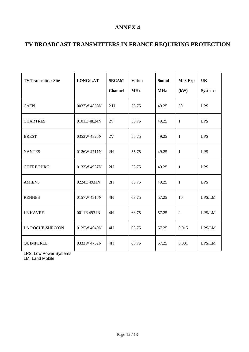# **TV BROADCAST TRANSMITTERS IN FRANCE REQUIRING PROTECTION**

| <b>TV Transmitter Site</b> | <b>LONG/LAT</b> | <b>SECAM</b><br><b>Channel</b> | <b>Vision</b><br><b>MHz</b> | <b>Sound</b><br><b>MHz</b> | <b>Max Erp</b><br>(kW) | UK<br><b>Systems</b> |
|----------------------------|-----------------|--------------------------------|-----------------------------|----------------------------|------------------------|----------------------|
| <b>CAEN</b>                | 0037W 4858N     | 2H                             | 55.75                       | 49.25                      | 50                     | <b>LPS</b>           |
| <b>CHARTRES</b>            | 0101E 48.24N    | 2V                             | 55.75                       | 49.25                      | $\mathbf{1}$           | <b>LPS</b>           |
| <b>BREST</b>               | 0353W 4825N     | 2V                             | 55.75                       | 49.25                      | $\mathbf{1}$           | <b>LPS</b>           |
| <b>NANTES</b>              | 0126W 4711N     | 2H                             | 55.75                       | 49.25                      | $\mathbf{1}$           | <b>LPS</b>           |
| <b>CHERBOURG</b>           | 0133W 4937N     | 2H                             | 55.75                       | 49.25                      | -1                     | <b>LPS</b>           |
| <b>AMIENS</b>              | 0224E 4931N     | 2H                             | 55.75                       | 49.25                      | $\mathbf{1}$           | <b>LPS</b>           |
| <b>RENNES</b>              | 0157W 4817N     | 4H                             | 63.75                       | 57.25                      | 10                     | LPS/LM               |
| <b>LE HAVRE</b>            | 0011E 4931N     | 4H                             | 63.75                       | 57.25                      | $\overline{2}$         | LPS/LM               |
| LA ROCHE-SUR-YON           | 0125W 4640N     | 4H                             | 63.75                       | 57.25                      | 0.015                  | LPS/LM               |
| <b>QUIMPERLE</b>           | 0333W 4752N     | 4H                             | 63.75                       | 57.25                      | 0.001                  | LPS/LM               |

LPS: Low Power Systems

LM: Land Mobile